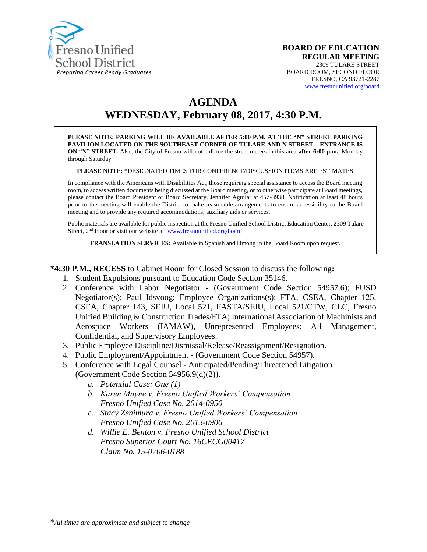

# **AGENDA WEDNESDAY, February 08, 2017, 4:30 P.M.**

**PLEASE NOTE: PARKING WILL BE AVAILABLE AFTER 5:00 P.M. AT THE "N" STREET PARKING PAVILION LOCATED ON THE SOUTHEAST CORNER OF TULARE AND N STREET – ENTRANCE IS ON "N" STREET.** Also, the City of Fresno will not enforce the street meters in this area **after 6:00 p.m.**, Monday through Saturday.

#### **PLEASE NOTE: \***DESIGNATED TIMES FOR CONFERENCE/DISCUSSION ITEMS ARE ESTIMATES

In compliance with the Americans with Disabilities Act, those requiring special assistance to access the Board meeting room, to access written documents being discussed at the Board meeting, or to otherwise participate at Board meetings, please contact the Board President or Board Secretary, Jennifer Aguilar at 457-3938. Notification at least 48 hours prior to the meeting will enable the District to make reasonable arrangements to ensure accessibility to the Board meeting and to provide any required accommodations, auxiliary aids or services.

Public materials are available for public inspection at the Fresno Unified School District Education Center, 2309 Tulare Street, 2<sup>nd</sup> Floor or visit our website at: [www.fresnounified.org/board](http://www.fresnounified.org/board)

**TRANSLATION SERVICES:** Available in Spanish and Hmong in the Board Room upon request.

**\*4:30 P.M., RECESS** to Cabinet Room for Closed Session to discuss the following**:**

- 1. Student Expulsions pursuant to Education Code Section 35146.
- 2. Conference with Labor Negotiator (Government Code Section 54957.6); FUSD Negotiator(s): Paul Idsvoog; Employee Organizations(s): FTA, CSEA, Chapter 125, CSEA, Chapter 143, SEIU, Local 521, FASTA/SEIU, Local 521/CTW, CLC, Fresno Unified Building & Construction Trades/FTA; International Association of Machinists and Aerospace Workers (IAMAW), Unrepresented Employees: All Management, Confidential, and Supervisory Employees.
- 3. Public Employee Discipline/Dismissal/Release/Reassignment/Resignation.
- 4. Public Employment/Appointment (Government Code Section 54957).
- 5. Conference with Legal Counsel **-** Anticipated/Pending/Threatened Litigation
	- (Government Code Section 54956.9(d)(2)).
		- *a. Potential Case: One (1)*
		- *b. Karen Mayne v. Fresno Unified Workers' Compensation Fresno Unified Case No. 2014-0950*
		- *c. Stacy Zenimura v. Fresno Unified Workers' Compensation Fresno Unified Case No. 2013-0906*
		- *d. Willie E. Benton v. Fresno Unified School District Fresno Superior Court No. 16CECG00417 Claim No. 15-0706-0188*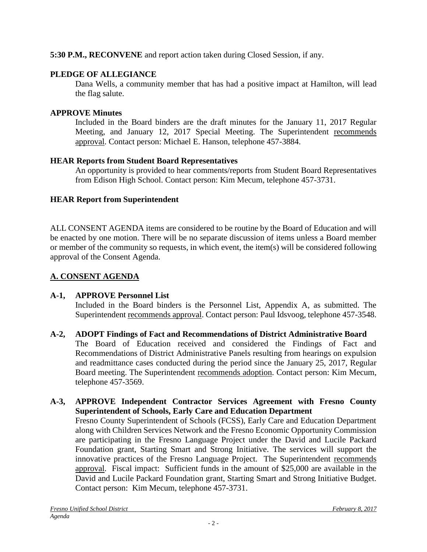# **5:30 P.M., RECONVENE** and report action taken during Closed Session, if any.

# **PLEDGE OF ALLEGIANCE**

Dana Wells, a community member that has had a positive impact at Hamilton, will lead the flag salute.

# **APPROVE Minutes**

Included in the Board binders are the draft minutes for the January 11, 2017 Regular Meeting, and January 12, 2017 Special Meeting. The Superintendent recommends approval. Contact person: Michael E. Hanson, telephone 457-3884.

# **HEAR Reports from Student Board Representatives**

An opportunity is provided to hear comments/reports from Student Board Representatives from Edison High School. Contact person: Kim Mecum, telephone 457-3731.

# **HEAR Report from Superintendent**

ALL CONSENT AGENDA items are considered to be routine by the Board of Education and will be enacted by one motion. There will be no separate discussion of items unless a Board member or member of the community so requests, in which event, the item(s) will be considered following approval of the Consent Agenda.

# **A. CONSENT AGENDA**

# **A-1, APPROVE Personnel List**

Included in the Board binders is the Personnel List, Appendix A, as submitted. The Superintendent recommends approval. Contact person: Paul Idsvoog, telephone 457-3548.

# **A-2, ADOPT Findings of Fact and Recommendations of District Administrative Board**

The Board of Education received and considered the Findings of Fact and Recommendations of District Administrative Panels resulting from hearings on expulsion and readmittance cases conducted during the period since the January 25, 2017, Regular Board meeting. The Superintendent recommends adoption. Contact person: Kim Mecum, telephone 457-3569.

### **A-3, APPROVE Independent Contractor Services Agreement with Fresno County Superintendent of Schools, Early Care and Education Department**

Fresno County Superintendent of Schools (FCSS), Early Care and Education Department along with Children Services Network and the Fresno Economic Opportunity Commission are participating in the Fresno Language Project under the David and Lucile Packard Foundation grant, Starting Smart and Strong Initiative. The services will support the innovative practices of the Fresno Language Project. The Superintendent recommends approval. Fiscal impact: Sufficient funds in the amount of \$25,000 are available in the David and Lucile Packard Foundation grant, Starting Smart and Strong Initiative Budget. Contact person: Kim Mecum, telephone 457-3731.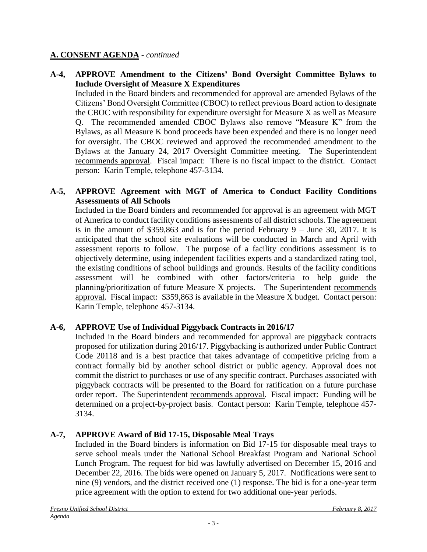### **A. CONSENT AGENDA** - *continued*

### **A-4, APPROVE Amendment to the Citizens' Bond Oversight Committee Bylaws to Include Oversight of Measure X Expenditures**

Included in the Board binders and recommended for approval are amended Bylaws of the Citizens' Bond Oversight Committee (CBOC) to reflect previous Board action to designate the CBOC with responsibility for expenditure oversight for Measure X as well as Measure Q. The recommended amended CBOC Bylaws also remove "Measure K" from the Bylaws, as all Measure K bond proceeds have been expended and there is no longer need for oversight. The CBOC reviewed and approved the recommended amendment to the Bylaws at the January 24, 2017 Oversight Committee meeting. The Superintendent recommends approval. Fiscal impact: There is no fiscal impact to the district. Contact person: Karin Temple, telephone 457-3134.

### **A-5, APPROVE Agreement with MGT of America to Conduct Facility Conditions Assessments of All Schools**

Included in the Board binders and recommended for approval is an agreement with MGT of America to conduct facility conditions assessments of all district schools. The agreement is in the amount of  $$359,863$  and is for the period February 9 – June 30, 2017. It is anticipated that the school site evaluations will be conducted in March and April with assessment reports to follow. The purpose of a facility conditions assessment is to objectively determine, using independent facilities experts and a standardized rating tool, the existing conditions of school buildings and grounds. Results of the facility conditions assessment will be combined with other factors/criteria to help guide the planning/prioritization of future Measure X projects. The Superintendent recommends approval. Fiscal impact: \$359,863 is available in the Measure X budget. Contact person: Karin Temple, telephone 457-3134.

## **A-6, APPROVE Use of Individual Piggyback Contracts in 2016/17**

Included in the Board binders and recommended for approval are piggyback contracts proposed for utilization during 2016/17. Piggybacking is authorized under Public Contract Code 20118 and is a best practice that takes advantage of competitive pricing from a contract formally bid by another school district or public agency. Approval does not commit the district to purchases or use of any specific contract. Purchases associated with piggyback contracts will be presented to the Board for ratification on a future purchase order report. The Superintendent recommends approval. Fiscal impact: Funding will be determined on a project-by-project basis. Contact person: Karin Temple, telephone 457- 3134.

### **A-7, APPROVE Award of Bid 17-15, Disposable Meal Trays**

Included in the Board binders is information on Bid 17-15 for disposable meal trays to serve school meals under the National School Breakfast Program and National School Lunch Program. The request for bid was lawfully advertised on December 15, 2016 and December 22, 2016. The bids were opened on January 5, 2017. Notifications were sent to nine (9) vendors, and the district received one (1) response. The bid is for a one-year term price agreement with the option to extend for two additional one-year periods.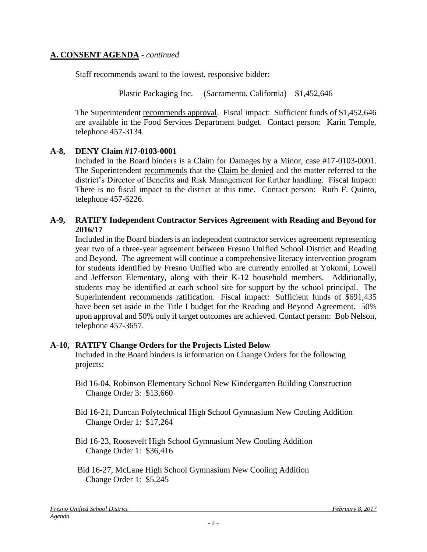### **A. CONSENT AGENDA** - *continued*

Staff recommends award to the lowest, responsive bidder:

Plastic Packaging Inc. (Sacramento, California) \$1,452,646

The Superintendent recommends approval. Fiscal impact:Sufficient funds of \$1,452,646 are available in the Food Services Department budget. Contact person: Karin Temple, telephone 457-3134.

## **A-8, DENY Claim #17-0103-0001**

Included in the Board binders is a Claim for Damages by a Minor, case #17-0103-0001. The Superintendent recommends that the Claim be denied and the matter referred to the district's Director of Benefits and Risk Management for further handling. Fiscal Impact: There is no fiscal impact to the district at this time. Contact person: Ruth F. Quinto, telephone 457-6226.

### **A-9, RATIFY Independent Contractor Services Agreement with Reading and Beyond for 2016/17**

Included in the Board binders is an independent contractor services agreement representing year two of a three-year agreement between Fresno Unified School District and Reading and Beyond. The agreement will continue a comprehensive literacy intervention program for students identified by Fresno Unified who are currently enrolled at Yokomi, Lowell and Jefferson Elementary, along with their K-12 household members. Additionally, students may be identified at each school site for support by the school principal. The Superintendent recommends ratification. Fiscal impact: Sufficient funds of \$691,435 have been set aside in the Title I budget for the Reading and Beyond Agreement. 50% upon approval and 50% only if target outcomes are achieved. Contact person: Bob Nelson, telephone 457-3657.

### **A-10, RATIFY Change Orders for the Projects Listed Below**

Included in the Board binders is information on Change Orders for the following projects:

- Bid 16-04, Robinson Elementary School New Kindergarten Building Construction Change Order 3: \$13,660
- Bid 16-21, Duncan Polytechnical High School Gymnasium New Cooling Addition Change Order 1: \$17,264
- Bid 16-23, Roosevelt High School Gymnasium New Cooling Addition Change Order 1: \$36,416
- Bid 16-27, McLane High School Gymnasium New Cooling Addition Change Order 1: \$5,245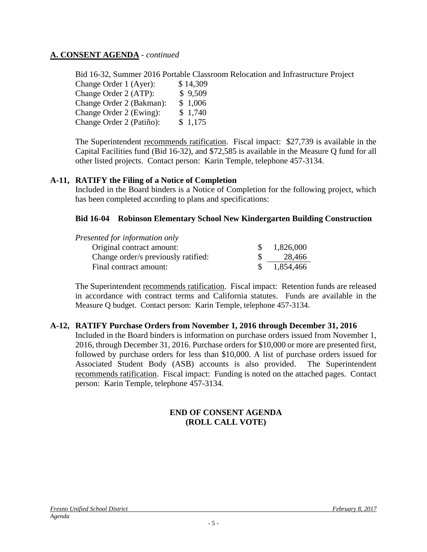### **A. CONSENT AGENDA** - *continued*

Bid 16-32, Summer 2016 Portable Classroom Relocation and Infrastructure Project Change Order 1 (Ayer): \$14,309 Change Order 2 (ATP): \$ 9,509 Change Order 2 (Bakman): \$ 1,006 Change Order 2 (Ewing): \$ 1,740 Change Order 2 (Patiño): \$ 1,175

The Superintendent recommends ratification. Fiscal impact:\$27,739 is available in the Capital Facilities fund (Bid 16-32), and \$72,585 is available in the Measure Q fund for all other listed projects. Contact person: Karin Temple, telephone 457-3134.

### **A-11, RATIFY the Filing of a Notice of Completion**

Included in the Board binders is a Notice of Completion for the following project, which has been completed according to plans and specifications:

#### **Bid 16-04 Robinson Elementary School New Kindergarten Building Construction**

| Presented for information only      |           |
|-------------------------------------|-----------|
| Original contract amount:           | 1,826,000 |
| Change order/s previously ratified: | 28,466    |
| Final contract amount:              | 1,854,466 |

The Superintendent recommends ratification. Fiscal impact:Retention funds are released in accordance with contract terms and California statutes. Funds are available in the Measure Q budget. Contact person: Karin Temple, telephone 457-3134.

#### **A-12, RATIFY Purchase Orders from November 1, 2016 through December 31, 2016**

Included in the Board binders is information on purchase orders issued from November 1, 2016, through December 31, 2016. Purchase orders for \$10,000 or more are presented first, followed by purchase orders for less than \$10,000. A list of purchase orders issued for Associated Student Body (ASB) accounts is also provided. The Superintendent recommends ratification. Fiscal impact: Funding is noted on the attached pages. Contact person: Karin Temple, telephone 457-3134.

### **END OF CONSENT AGENDA (ROLL CALL VOTE)**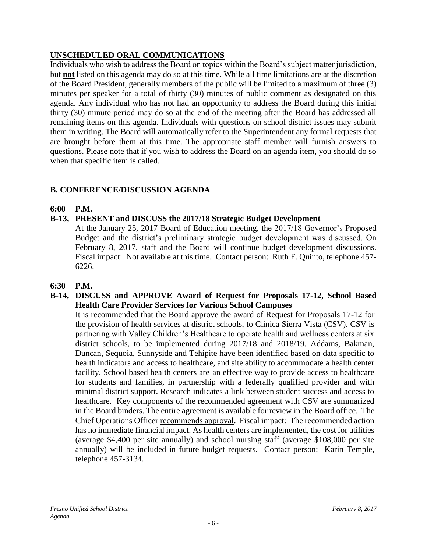# **UNSCHEDULED ORAL COMMUNICATIONS**

Individuals who wish to address the Board on topics within the Board's subject matter jurisdiction, but **not** listed on this agenda may do so at this time. While all time limitations are at the discretion of the Board President, generally members of the public will be limited to a maximum of three (3) minutes per speaker for a total of thirty (30) minutes of public comment as designated on this agenda. Any individual who has not had an opportunity to address the Board during this initial thirty (30) minute period may do so at the end of the meeting after the Board has addressed all remaining items on this agenda. Individuals with questions on school district issues may submit them in writing. The Board will automatically refer to the Superintendent any formal requests that are brought before them at this time. The appropriate staff member will furnish answers to questions. Please note that if you wish to address the Board on an agenda item, you should do so when that specific item is called.

# **B. CONFERENCE/DISCUSSION AGENDA**

## **6:00 P.M.**

## **B-13, PRESENT and DISCUSS the 2017/18 Strategic Budget Development**

At the January 25, 2017 Board of Education meeting, the 2017/18 Governor's Proposed Budget and the district's preliminary strategic budget development was discussed. On February 8, 2017, staff and the Board will continue budget development discussions. Fiscal impact: Not available at this time. Contact person: Ruth F. Quinto, telephone 457- 6226.

## **6:30 P.M.**

### **B-14, DISCUSS and APPROVE Award of Request for Proposals 17-12, School Based Health Care Provider Services for Various School Campuses**

It is recommended that the Board approve the award of Request for Proposals 17-12 for the provision of health services at district schools, to Clinica Sierra Vista (CSV). CSV is partnering with Valley Children's Healthcare to operate health and wellness centers at six district schools, to be implemented during 2017/18 and 2018/19. Addams, Bakman, Duncan, Sequoia, Sunnyside and Tehipite have been identified based on data specific to health indicators and access to healthcare, and site ability to accommodate a health center facility. School based health centers are an effective way to provide access to healthcare for students and families, in partnership with a federally qualified provider and with minimal district support. Research indicates a link between student success and access to healthcare. Key components of the recommended agreement with CSV are summarized in the Board binders. The entire agreement is available for review in the Board office. The Chief Operations Officer recommends approval. Fiscal impact: The recommended action has no immediate financial impact. As health centers are implemented, the cost for utilities (average \$4,400 per site annually) and school nursing staff (average \$108,000 per site annually) will be included in future budget requests. Contact person: Karin Temple, telephone 457-3134.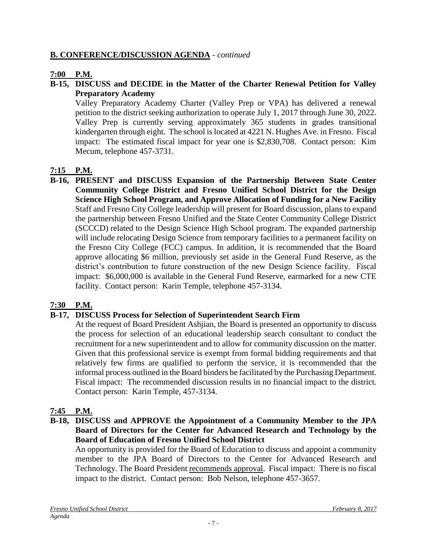### **B. CONFERENCE/DISCUSSION AGENDA** - *continued*

### **7:00 P.M.**

### **B-15, DISCUSS and DECIDE in the Matter of the Charter Renewal Petition for Valley Preparatory Academy**

Valley Preparatory Academy Charter (Valley Prep or VPA) has delivered a renewal petition to the district seeking authorization to operate July 1, 2017 through June 30, 2022. Valley Prep is currently serving approximately 365 students in grades transitional kindergarten through eight. The school is located at 4221 N. Hughes Ave. in Fresno. Fiscal impact: The estimated fiscal impact for year one is \$2,830,708. Contact person: Kim Mecum, telephone 457-3731.

### **7:15 P.M.**

**B-16, PRESENT and DISCUSS Expansion of the Partnership Between State Center Community College District and Fresno Unified School District for the Design Science High School Program, and Approve Allocation of Funding for a New Facility** Staff and Fresno City College leadership will present for Board discussion, plans to expand the partnership between Fresno Unified and the State Center Community College District (SCCCD) related to the Design Science High School program. The expanded partnership will include relocating Design Science from temporary facilities to a permanent facility on the Fresno City College (FCC) campus. In addition, it is recommended that the Board approve allocating \$6 million, previously set aside in the General Fund Reserve, as the district's contribution to future construction of the new Design Science facility. Fiscal impact: \$6,000,000 is available in the General Fund Reserve, earmarked for a new CTE facility. Contact person: Karin Temple, telephone 457-3134.

### **7:30 P.M.**

### **B-17, DISCUSS Process for Selection of Superintendent Search Firm**

At the request of Board President Ashjian, the Board is presented an opportunity to discuss the process for selection of an educational leadership search consultant to conduct the recruitment for a new superintendent and to allow for community discussion on the matter. Given that this professional service is exempt from formal bidding requirements and that relatively few firms are qualified to perform the service, it is recommended that the informal process outlined in the Board binders be facilitated by the Purchasing Department. Fiscal impact: The recommended discussion results in no financial impact to the district. Contact person: Karin Temple, 457-3134.

## **7:45 P.M.**

**B-18, DISCUSS and APPROVE the Appointment of a Community Member to the JPA Board of Directors for the Center for Advanced Research and Technology by the Board of Education of Fresno Unified School District**

An opportunity is provided for the Board of Education to discuss and appoint a community member to the JPA Board of Directors to the Center for Advanced Research and Technology. The Board President recommends approval. Fiscal impact: There is no fiscal impact to the district. Contact person: Bob Nelson, telephone 457-3657.